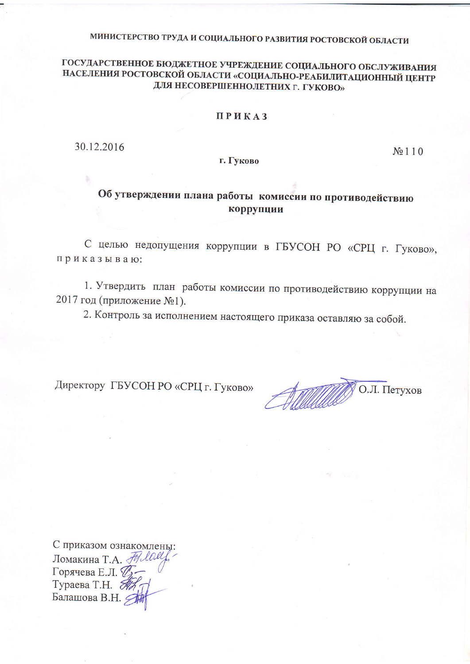## МИНИСТЕРСТВО ТРУДА И СОЦИАЛЬНОГО РАЗВИТИЯ РОСТОВСКОЙ ОБЛАСТИ

### ГОСУДАРСТВЕННОЕ БЮДЖЕТНОЕ УЧРЕЖДЕНИЕ СОЦИАЛЬНОГО ОБСЛУЖИВАНИЯ НАСЕЛЕНИЯ РОСТОВСКОЙ ОБЛАСТИ «СОЦИАЛЬНО-РЕАБИЛИТАЦИОННЫЙ ЦЕНТР ДЛЯ НЕСОВЕРШЕННОЛЕТНИХ Г. ГУКОВО»

#### **ПРИКАЗ**

30.12.2016

г. Гуково

 $N<sub>2</sub>110$ 

## Об утверждении плана работы комиссии по противодействию коррупции

С целью недопущения коррупции в ГБУСОН РО «СРЦ г. Гуково», приказываю:

1. Утвердить план работы комиссии по противодействию коррупции на 2017 год (приложение №1).

2. Контроль за исполнением настоящего приказа оставляю за собой.

Директору ГБУСОН РО «СРЦ г. Гуково»

О.Л. Петухов

С приказом ознакомлены: Помакина Т.А. Неле Горячева Е.Л. Д-Тураева Т.Н. *По* Балашова В.Н.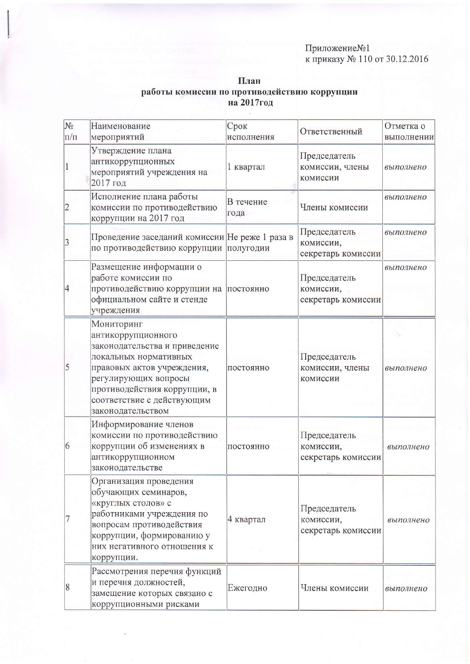# Приложение№1<br>к приказу № 110 от 30.12.2016

| $N_2$<br>$\Pi/\Pi$ | Наименование<br>мероприятий                                                                                                                                                                                                         | Срок<br>исполнения | Ответственный                                   | Отметка о<br>выполнении |
|--------------------|-------------------------------------------------------------------------------------------------------------------------------------------------------------------------------------------------------------------------------------|--------------------|-------------------------------------------------|-------------------------|
| $\mathbf{1}$       | Утверждение плана<br>антикоррупционных<br>мероприятий учреждения на<br>2017 год                                                                                                                                                     | 1 квартал          | Председатель<br>комиссии, члены<br>комиссии     | выполнено               |
| $\overline{2}$     | Исполнение плана работы<br>комиссии по противодействию<br>коррупции на 2017 год                                                                                                                                                     | В течение<br>года  | Члены комиссии                                  | выполнено               |
| 3                  | Проведение заседаний комиссии Не реже 1 раза в<br>по противодействию коррупции                                                                                                                                                      | полугодии          | Председатель<br>комиссии,<br>секретарь комиссии | выполнено               |
| 4                  | Размещение информации о<br>работе комиссии по<br>противодействию коррупции на<br>официальном сайте и стенде<br>учреждения                                                                                                           | постоянно          | Председатель<br>комиссии,<br>секретарь комиссии | выполнено               |
| 5                  | Мониторинг<br>антикоррупционного<br>законодательства и приведение<br>локальных нормативных<br>правовых актов учреждения,<br>регулирующих вопросы<br>противодействия коррупции, в<br>соответствие с действующим<br>законодательством | постоянно          | Председатель<br>комиссии, члены<br>комиссии     | выполнено               |
| 6                  | Информирование членов<br>комиссии по противодействию<br>коррупции об изменениях в<br>антикоррупционном<br>законодательстве                                                                                                          | ПОСТОЯННО          | Председатель<br>комиссии,<br>секретарь комиссии | выполнено               |
|                    | Организация проведения<br>обучающих семинаров,<br>«круглых столов» с<br>работниками учреждения по<br>вопросам противодействия<br>коррупции, формированию у<br>них негативного отношения к<br>коррупции.                             | 4 квартал          | Председатель<br>комиссии,<br>секретарь комиссии | выполнено               |
| 8                  | Рассмотрения перечня функций<br>и перечня должностей,<br>замещение которых связано с<br>коррупционными рисками                                                                                                                      | Ежегодно           | Члены комиссии                                  | выполнено               |

План работы комиссии по противодействию коррупции<br>на 2017год